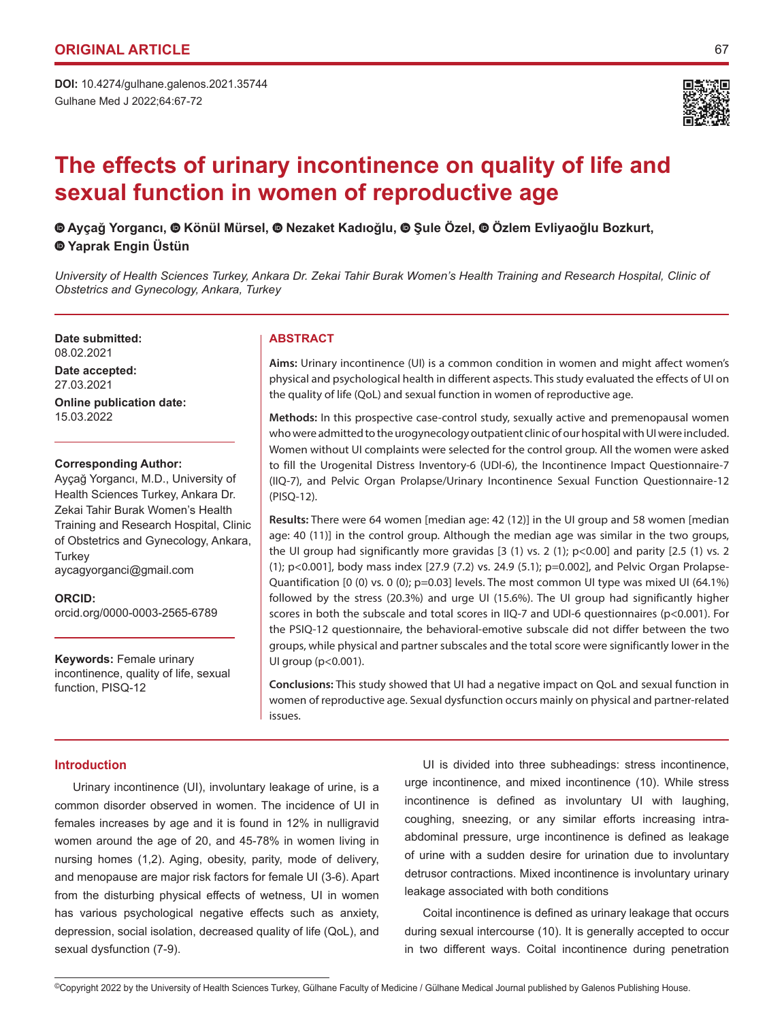Gulhane Med J 2022;64:67-72 **DOI:** 10.4274/gulhane.galenos.2021.35744



# **The effects of urinary incontinence on quality of life and sexual function in women of reproductive age**

 **Ayçağ Yorgancı,Könül Mürsel, Nezaket Kadıoğlu,Şule Özel,Özlem Evliyaoğlu Bozkurt, Yaprak Engin Üstün**

*University of Health Sciences Turkey, Ankara Dr. Zekai Tahir Burak Women's Health Training and Research Hospital, Clinic of Obstetrics and Gynecology, Ankara, Turkey*

**Date submitted:** 08.02.2021

**Date accepted:** 27.03.2021 **Online publication date:** 15.03.2022

## **Corresponding Author:**

Ayçağ Yorgancı, M.D., University of Health Sciences Turkey, Ankara Dr. Zekai Tahir Burak Women's Health Training and Research Hospital, Clinic of Obstetrics and Gynecology, Ankara, **Turkey** aycagyorganci@gmail.com

## **ORCID:**

orcid.org/0000-0003-2565-6789

**Keywords:** Female urinary incontinence, quality of life, sexual function, PISQ-12

## **ABSTRACT**

**Aims:** Urinary incontinence (UI) is a common condition in women and might affect women's physical and psychological health in different aspects. This study evaluated the effects of UI on the quality of life (QoL) and sexual function in women of reproductive age.

**Methods:** In this prospective case-control study, sexually active and premenopausal women who were admitted to the urogynecology outpatient clinic of our hospital with UI were included. Women without UI complaints were selected for the control group. All the women were asked to fill the Urogenital Distress Inventory-6 (UDI-6), the Incontinence Impact Questionnaire-7 (IIQ-7), and Pelvic Organ Prolapse/Urinary Incontinence Sexual Function Questionnaire-12 (PISQ-12).

**Results:** There were 64 women [median age: 42 (12)] in the UI group and 58 women [median age: 40 (11)] in the control group. Although the median age was similar in the two groups, the UI group had significantly more gravidas  $[3 (1)$  vs. 2  $(1)$ ; p<0.00] and parity  $[2.5 (1)$  vs. 2 (1); p<0.001], body mass index [27.9 (7.2) vs. 24.9 (5.1); p=0.002], and Pelvic Organ Prolapse-Quantification [0 (0) vs. 0 (0); p=0.03] levels. The most common UI type was mixed UI (64.1%) followed by the stress (20.3%) and urge UI (15.6%). The UI group had significantly higher scores in both the subscale and total scores in IIQ-7 and UDI-6 questionnaires (p<0.001). For the PSIQ-12 questionnaire, the behavioral-emotive subscale did not differ between the two groups, while physical and partner subscales and the total score were significantly lower in the UI group (p<0.001).

**Conclusions:** This study showed that UI had a negative impact on QoL and sexual function in women of reproductive age. Sexual dysfunction occurs mainly on physical and partner-related issues.

## **Introduction**

Urinary incontinence (UI), involuntary leakage of urine, is a common disorder observed in women. The incidence of UI in females increases by age and it is found in 12% in nulligravid women around the age of 20, and 45-78% in women living in nursing homes (1,2). Aging, obesity, parity, mode of delivery, and menopause are major risk factors for female UI (3-6). Apart from the disturbing physical effects of wetness, UI in women has various psychological negative effects such as anxiety, depression, social isolation, decreased quality of life (QoL), and sexual dysfunction (7-9).

UI is divided into three subheadings: stress incontinence, urge incontinence, and mixed incontinence (10). While stress incontinence is defined as involuntary UI with laughing, coughing, sneezing, or any similar efforts increasing intraabdominal pressure, urge incontinence is defined as leakage of urine with a sudden desire for urination due to involuntary detrusor contractions. Mixed incontinence is involuntary urinary leakage associated with both conditions

Coital incontinence is defined as urinary leakage that occurs during sexual intercourse (10). It is generally accepted to occur in two different ways. Coital incontinence during penetration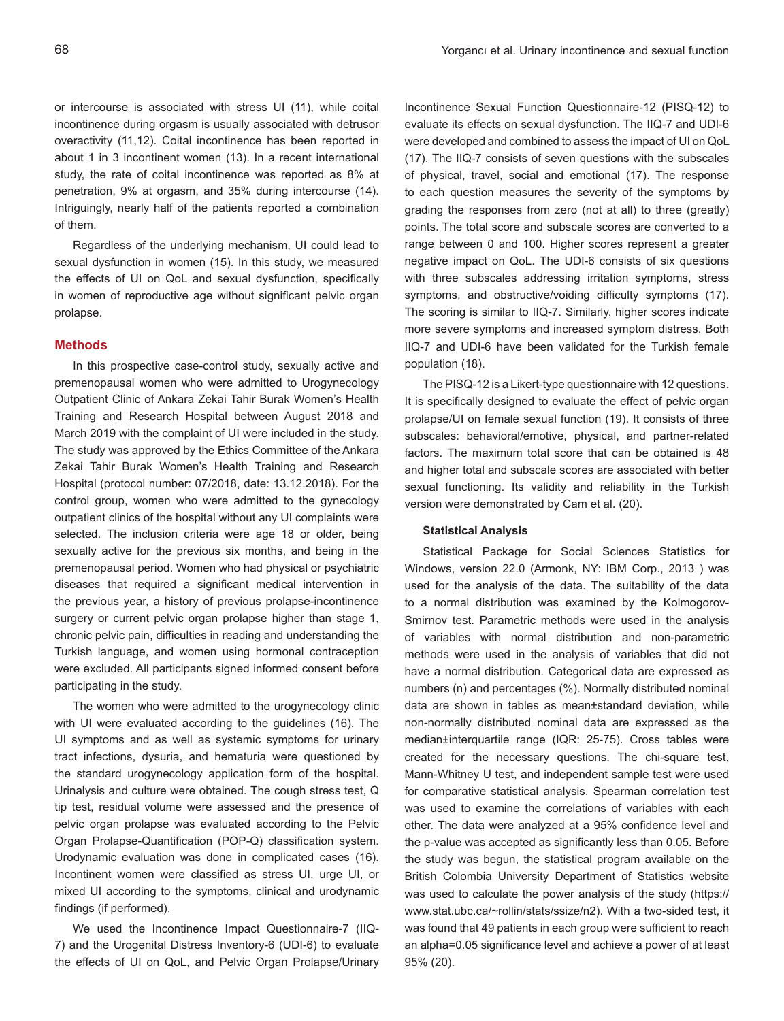or intercourse is associated with stress UI (11), while coital incontinence during orgasm is usually associated with detrusor overactivity (11,12). Coital incontinence has been reported in about 1 in 3 incontinent women (13). In a recent international study, the rate of coital incontinence was reported as 8% at penetration, 9% at orgasm, and 35% during intercourse (14). Intriguingly, nearly half of the patients reported a combination of them.

Regardless of the underlying mechanism, UI could lead to sexual dysfunction in women (15). In this study, we measured the effects of UI on QoL and sexual dysfunction, specifically in women of reproductive age without significant pelvic organ prolapse.

## **Methods**

In this prospective case-control study, sexually active and premenopausal women who were admitted to Urogynecology Outpatient Clinic of Ankara Zekai Tahir Burak Women's Health Training and Research Hospital between August 2018 and March 2019 with the complaint of UI were included in the study. The study was approved by the Ethics Committee of the Ankara Zekai Tahir Burak Women's Health Training and Research Hospital (protocol number: 07/2018, date: 13.12.2018). For the control group, women who were admitted to the gynecology outpatient clinics of the hospital without any UI complaints were selected. The inclusion criteria were age 18 or older, being sexually active for the previous six months, and being in the premenopausal period. Women who had physical or psychiatric diseases that required a significant medical intervention in the previous year, a history of previous prolapse-incontinence surgery or current pelvic organ prolapse higher than stage 1, chronic pelvic pain, difficulties in reading and understanding the Turkish language, and women using hormonal contraception were excluded. All participants signed informed consent before participating in the study.

The women who were admitted to the urogynecology clinic with UI were evaluated according to the guidelines (16). The UI symptoms and as well as systemic symptoms for urinary tract infections, dysuria, and hematuria were questioned by the standard urogynecology application form of the hospital. Urinalysis and culture were obtained. The cough stress test, Q tip test, residual volume were assessed and the presence of pelvic organ prolapse was evaluated according to the Pelvic Organ Prolapse-Quantification (POP-Q) classification system. Urodynamic evaluation was done in complicated cases (16). Incontinent women were classified as stress UI, urge UI, or mixed UI according to the symptoms, clinical and urodynamic findings (if performed).

We used the Incontinence Impact Questionnaire-7 (IIQ-7) and the Urogenital Distress Inventory-6 (UDI-6) to evaluate the effects of UI on QoL, and Pelvic Organ Prolapse/Urinary Incontinence Sexual Function Questionnaire-12 (PISQ-12) to evaluate its effects on sexual dysfunction. The IIQ-7 and UDI-6 were developed and combined to assess the impact of UI on QoL (17). The IIQ-7 consists of seven questions with the subscales of physical, travel, social and emotional (17). The response to each question measures the severity of the symptoms by grading the responses from zero (not at all) to three (greatly) points. The total score and subscale scores are converted to a range between 0 and 100. Higher scores represent a greater negative impact on QoL. The UDI-6 consists of six questions with three subscales addressing irritation symptoms, stress symptoms, and obstructive/voiding difficulty symptoms (17). The scoring is similar to IIQ-7. Similarly, higher scores indicate more severe symptoms and increased symptom distress. Both IIQ-7 and UDI-6 have been validated for the Turkish female population (18).

The PISQ-12 is a Likert-type questionnaire with 12 questions. It is specifically designed to evaluate the effect of pelvic organ prolapse/UI on female sexual function (19). It consists of three subscales: behavioral/emotive, physical, and partner-related factors. The maximum total score that can be obtained is 48 and higher total and subscale scores are associated with better sexual functioning. Its validity and reliability in the Turkish version were demonstrated by Cam et al. (20).

## **Statistical Analysis**

Statistical Package for Social Sciences Statistics for Windows, version 22.0 (Armonk, NY: IBM Corp., 2013 ) was used for the analysis of the data. The suitability of the data to a normal distribution was examined by the Kolmogorov-Smirnov test. Parametric methods were used in the analysis of variables with normal distribution and non-parametric methods were used in the analysis of variables that did not have a normal distribution. Categorical data are expressed as numbers (n) and percentages (%). Normally distributed nominal data are shown in tables as mean±standard deviation, while non-normally distributed nominal data are expressed as the median±interquartile range (IQR: 25-75). Cross tables were created for the necessary questions. The chi-square test, Mann-Whitney U test, and independent sample test were used for comparative statistical analysis. Spearman correlation test was used to examine the correlations of variables with each other. The data were analyzed at a 95% confidence level and the p-value was accepted as significantly less than 0.05. Before the study was begun, the statistical program available on the British Colombia University Department of Statistics website was used to calculate the power analysis of the study (https:// www.stat.ubc.ca/~rollin/stats/ssize/n2). With a two-sided test, it was found that 49 patients in each group were sufficient to reach an alpha=0.05 significance level and achieve a power of at least 95% (20).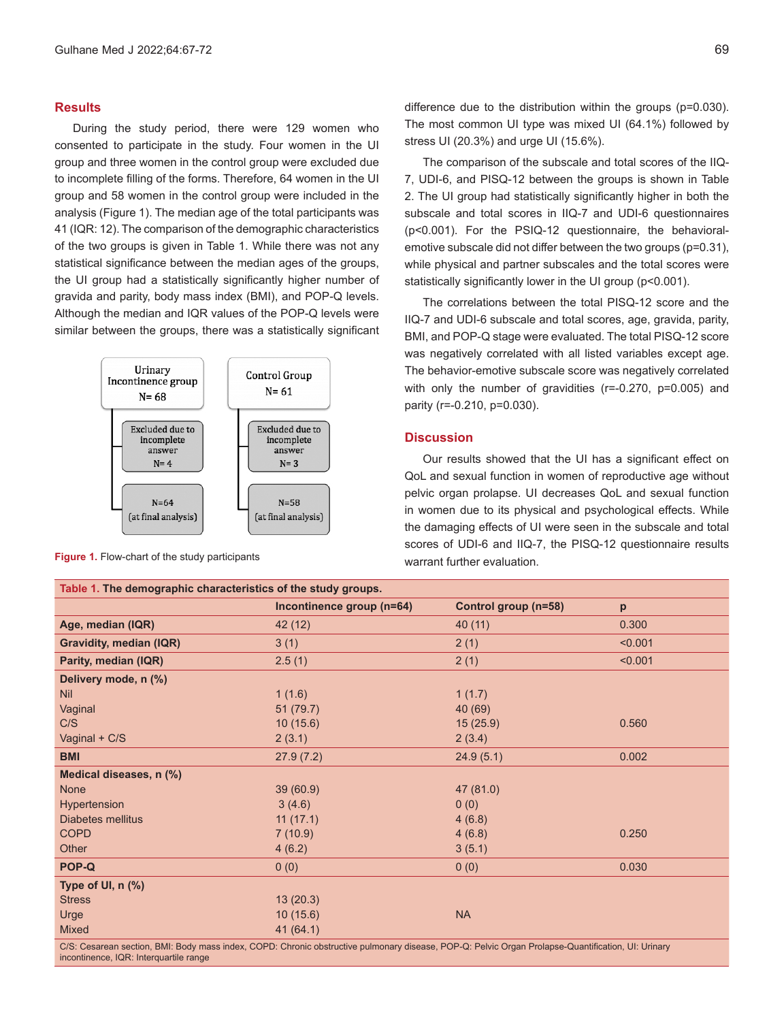# **Results**

During the study period, there were 129 women who consented to participate in the study. Four women in the UI group and three women in the control group were excluded due to incomplete filling of the forms. Therefore, 64 women in the UI group and 58 women in the control group were included in the analysis (Figure 1). The median age of the total participants was 41 (IQR: 12). The comparison of the demographic characteristics of the two groups is given in Table 1. While there was not any statistical significance between the median ages of the groups, the UI group had a statistically significantly higher number of gravida and parity, body mass index (BMI), and POP-Q levels. Although the median and IQR values of the POP-Q levels were similar between the groups, there was a statistically significant



**Figure 1.** Flow-chart of the study participants

difference due to the distribution within the groups (p=0.030). The most common UI type was mixed UI (64.1%) followed by stress UI (20.3%) and urge UI (15.6%).

The comparison of the subscale and total scores of the IIQ-7, UDI-6, and PISQ-12 between the groups is shown in Table 2. The UI group had statistically significantly higher in both the subscale and total scores in IIQ-7 and UDI-6 questionnaires (p<0.001). For the PSIQ-12 questionnaire, the behavioralemotive subscale did not differ between the two groups (p=0.31), while physical and partner subscales and the total scores were statistically significantly lower in the UI group (p<0.001).

The correlations between the total PISQ-12 score and the IIQ-7 and UDI-6 subscale and total scores, age, gravida, parity, BMI, and POP-Q stage were evaluated. The total PISQ-12 score was negatively correlated with all listed variables except age. The behavior-emotive subscale score was negatively correlated with only the number of gravidities (r=-0.270, p=0.005) and parity (r=-0.210, p=0.030).

## **Discussion**

Our results showed that the UI has a significant effect on QoL and sexual function in women of reproductive age without pelvic organ prolapse. UI decreases QoL and sexual function in women due to its physical and psychological effects. While the damaging effects of UI were seen in the subscale and total scores of UDI-6 and IIQ-7, the PISQ-12 questionnaire results warrant further evaluation.

| Table 1. The demographic characteristics of the study groups.                                                                        |                           |                      |         |  |
|--------------------------------------------------------------------------------------------------------------------------------------|---------------------------|----------------------|---------|--|
|                                                                                                                                      | Incontinence group (n=64) | Control group (n=58) | p       |  |
| Age, median (IQR)                                                                                                                    | 42 (12)                   | 40(11)               | 0.300   |  |
| <b>Gravidity, median (IQR)</b>                                                                                                       | 3(1)                      | 2(1)                 | < 0.001 |  |
| Parity, median (IQR)                                                                                                                 | 2.5(1)                    | 2(1)                 | < 0.001 |  |
| Delivery mode, n (%)                                                                                                                 |                           |                      |         |  |
| <b>Nil</b>                                                                                                                           | 1(1.6)                    | 1(1.7)               |         |  |
| Vaginal                                                                                                                              | 51(79.7)                  | 40 (69)              |         |  |
| C/S                                                                                                                                  | 10(15.6)                  | 15(25.9)             | 0.560   |  |
| Vaginal + C/S                                                                                                                        | 2(3.1)                    | 2(3.4)               |         |  |
| <b>BMI</b>                                                                                                                           | 27.9(7.2)                 | 24.9(5.1)            | 0.002   |  |
| Medical diseases, n (%)                                                                                                              |                           |                      |         |  |
| <b>None</b>                                                                                                                          | 39(60.9)                  | 47 (81.0)            |         |  |
| Hypertension                                                                                                                         | 3(4.6)                    | 0(0)                 |         |  |
| <b>Diabetes mellitus</b>                                                                                                             | 11(17.1)                  | 4(6.8)               |         |  |
| <b>COPD</b>                                                                                                                          | 7(10.9)                   | 4(6.8)               | 0.250   |  |
| Other                                                                                                                                | 4(6.2)                    | 3(5.1)               |         |  |
| POP-Q                                                                                                                                | 0(0)                      | 0(0)                 | 0.030   |  |
| Type of UI, n (%)                                                                                                                    |                           |                      |         |  |
| <b>Stress</b>                                                                                                                        | 13(20.3)                  |                      |         |  |
| Urge                                                                                                                                 | 10(15.6)                  | <b>NA</b>            |         |  |
| Mixed                                                                                                                                | 41(64.1)                  |                      |         |  |
| OO, Ossaran saating DML Dadisman tudey OODD, Obaatin bahaydiya aylaanaa disaas DOD O, Dalida Ousen Dadamar Oyyadificating Uly Udaran |                           |                      |         |  |

'esarean section, BMI: Body mass index, COPD: Chronic obstructive pulmonary disease, POP-Q: Pelvic Organ Prolapse-Quantification, UI: Urinary incontinence, IQR: Interquartile range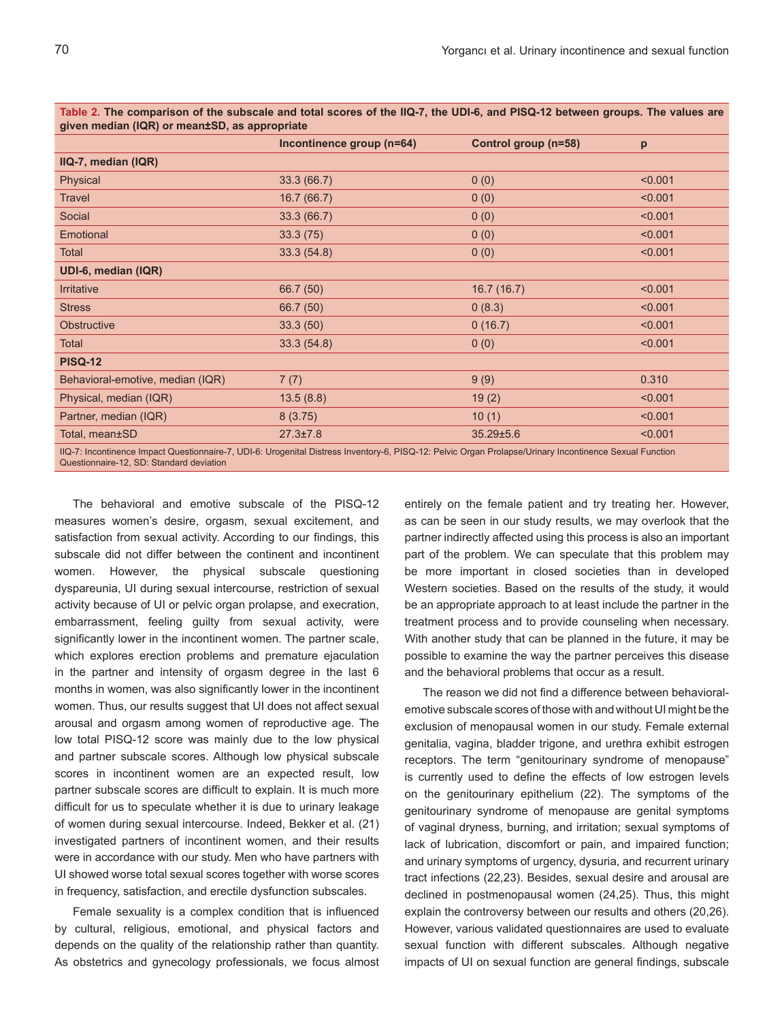| given median (IQR) or mean±SD, as appropriate                                                                                                                                                       |                           |                      |         |  |
|-----------------------------------------------------------------------------------------------------------------------------------------------------------------------------------------------------|---------------------------|----------------------|---------|--|
|                                                                                                                                                                                                     | Incontinence group (n=64) | Control group (n=58) | p       |  |
| IIQ-7, median (IQR)                                                                                                                                                                                 |                           |                      |         |  |
| Physical                                                                                                                                                                                            | 33.3(66.7)                | 0(0)                 | < 0.001 |  |
| <b>Travel</b>                                                                                                                                                                                       | 16.7(66.7)                | 0(0)                 | < 0.001 |  |
| Social                                                                                                                                                                                              | 33.3(66.7)                | 0(0)                 | < 0.001 |  |
| Emotional                                                                                                                                                                                           | 33.3(75)                  | 0(0)                 | < 0.001 |  |
| Total                                                                                                                                                                                               | 33.3(54.8)                | 0(0)                 | < 0.001 |  |
| UDI-6, median (IQR)                                                                                                                                                                                 |                           |                      |         |  |
| <b>Irritative</b>                                                                                                                                                                                   | 66.7 (50)                 | 16.7(16.7)           | < 0.001 |  |
| <b>Stress</b>                                                                                                                                                                                       | 66.7 (50)                 | 0(8.3)               | < 0.001 |  |
| Obstructive                                                                                                                                                                                         | 33.3(50)                  | 0(16.7)              | < 0.001 |  |
| Total                                                                                                                                                                                               | 33.3(54.8)                | 0(0)                 | < 0.001 |  |
| <b>PISQ-12</b>                                                                                                                                                                                      |                           |                      |         |  |
| Behavioral-emotive, median (IQR)                                                                                                                                                                    | 7(7)                      | 9(9)                 | 0.310   |  |
| Physical, median (IQR)                                                                                                                                                                              | 13.5(8.8)                 | 19(2)                | < 0.001 |  |
| Partner, median (IQR)                                                                                                                                                                               | 8(3.75)                   | 10(1)                | < 0.001 |  |
| Total, mean±SD                                                                                                                                                                                      | $27.3 \pm 7.8$            | $35.29 \pm 5.6$      | < 0.001 |  |
| IIQ-7: Incontinence Impact Questionnaire-7, UDI-6: Urogenital Distress Inventory-6, PISQ-12: Pelvic Organ Prolapse/Urinary Incontinence Sexual Function<br>Questionnaire-12, SD: Standard deviation |                           |                      |         |  |

**Table 2. The comparison of the subscale and total scores of the IIQ-7, the UDI-6, and PISQ-12 between groups. The values are** 

The behavioral and emotive subscale of the PISQ-12 measures women's desire, orgasm, sexual excitement, and satisfaction from sexual activity. According to our findings, this subscale did not differ between the continent and incontinent women. However, the physical subscale questioning dyspareunia, UI during sexual intercourse, restriction of sexual activity because of UI or pelvic organ prolapse, and execration, embarrassment, feeling guilty from sexual activity, were significantly lower in the incontinent women. The partner scale, which explores erection problems and premature ejaculation in the partner and intensity of orgasm degree in the last 6 months in women, was also significantly lower in the incontinent women. Thus, our results suggest that UI does not affect sexual arousal and orgasm among women of reproductive age. The low total PISQ-12 score was mainly due to the low physical and partner subscale scores. Although low physical subscale scores in incontinent women are an expected result, low partner subscale scores are difficult to explain. It is much more difficult for us to speculate whether it is due to urinary leakage of women during sexual intercourse. Indeed, Bekker et al. (21) investigated partners of incontinent women, and their results were in accordance with our study. Men who have partners with UI showed worse total sexual scores together with worse scores in frequency, satisfaction, and erectile dysfunction subscales.

Female sexuality is a complex condition that is influenced by cultural, religious, emotional, and physical factors and depends on the quality of the relationship rather than quantity. As obstetrics and gynecology professionals, we focus almost entirely on the female patient and try treating her. However, as can be seen in our study results, we may overlook that the partner indirectly affected using this process is also an important part of the problem. We can speculate that this problem may be more important in closed societies than in developed Western societies. Based on the results of the study, it would be an appropriate approach to at least include the partner in the treatment process and to provide counseling when necessary. With another study that can be planned in the future, it may be possible to examine the way the partner perceives this disease and the behavioral problems that occur as a result.

The reason we did not find a difference between behavioralemotive subscale scores of those with and without UI might be the exclusion of menopausal women in our study. Female external genitalia, vagina, bladder trigone, and urethra exhibit estrogen receptors. The term "genitourinary syndrome of menopause" is currently used to define the effects of low estrogen levels on the genitourinary epithelium (22). The symptoms of the genitourinary syndrome of menopause are genital symptoms of vaginal dryness, burning, and irritation; sexual symptoms of lack of lubrication, discomfort or pain, and impaired function; and urinary symptoms of urgency, dysuria, and recurrent urinary tract infections (22,23). Besides, sexual desire and arousal are declined in postmenopausal women (24,25). Thus, this might explain the controversy between our results and others (20,26). However, various validated questionnaires are used to evaluate sexual function with different subscales. Although negative impacts of UI on sexual function are general findings, subscale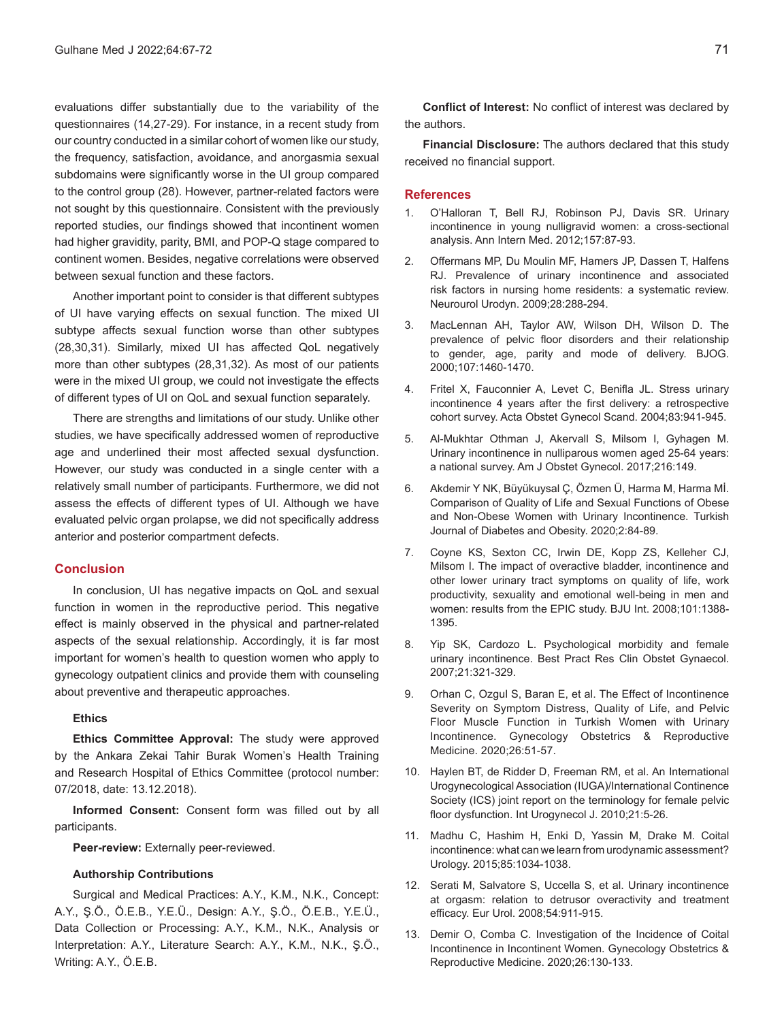evaluations differ substantially due to the variability of the questionnaires (14,27-29). For instance, in a recent study from our country conducted in a similar cohort of women like our study, the frequency, satisfaction, avoidance, and anorgasmia sexual subdomains were significantly worse in the UI group compared to the control group (28). However, partner-related factors were not sought by this questionnaire. Consistent with the previously reported studies, our findings showed that incontinent women had higher gravidity, parity, BMI, and POP-Q stage compared to continent women. Besides, negative correlations were observed between sexual function and these factors.

Another important point to consider is that different subtypes of UI have varying effects on sexual function. The mixed UI subtype affects sexual function worse than other subtypes (28,30,31). Similarly, mixed UI has affected QoL negatively more than other subtypes (28,31,32). As most of our patients were in the mixed UI group, we could not investigate the effects of different types of UI on QoL and sexual function separately.

There are strengths and limitations of our study. Unlike other studies, we have specifically addressed women of reproductive age and underlined their most affected sexual dysfunction. However, our study was conducted in a single center with a relatively small number of participants. Furthermore, we did not assess the effects of different types of UI. Although we have evaluated pelvic organ prolapse, we did not specifically address anterior and posterior compartment defects.

## **Conclusion**

In conclusion, UI has negative impacts on QoL and sexual function in women in the reproductive period. This negative effect is mainly observed in the physical and partner-related aspects of the sexual relationship. Accordingly, it is far most important for women's health to question women who apply to gynecology outpatient clinics and provide them with counseling about preventive and therapeutic approaches.

#### **Ethics**

**Ethics Committee Approval:** The study were approved by the Ankara Zekai Tahir Burak Women's Health Training and Research Hospital of Ethics Committee (protocol number: 07/2018, date: 13.12.2018).

**Informed Consent:** Consent form was filled out by all participants.

**Peer-review:** Externally peer-reviewed.

## **Authorship Contributions**

Surgical and Medical Practices: A.Y., K.M., N.K., Concept: A.Y., Ş.Ö., Ö.E.B., Y.E.Ü., Design: A.Y., Ş.Ö., Ö.E.B., Y.E.Ü., Data Collection or Processing: A.Y., K.M., N.K., Analysis or Interpretation: A.Y., Literature Search: A.Y., K.M., N.K., Ş.Ö., Writing: A.Y., Ö.E.B.

**Conflict of Interest:** No conflict of interest was declared by the authors.

**Financial Disclosure:** The authors declared that this study received no financial support.

## **References**

- 1. O'Halloran T, Bell RJ, Robinson PJ, Davis SR. Urinary incontinence in young nulligravid women: a cross-sectional analysis. Ann Intern Med. 2012;157:87-93.
- 2. Offermans MP, Du Moulin MF, Hamers JP, Dassen T, Halfens RJ. Prevalence of urinary incontinence and associated risk factors in nursing home residents: a systematic review. Neurourol Urodyn. 2009;28:288-294.
- 3. MacLennan AH, Taylor AW, Wilson DH, Wilson D. The prevalence of pelvic floor disorders and their relationship to gender, age, parity and mode of delivery. BJOG. 2000;107:1460-1470.
- 4. Fritel X, Fauconnier A, Levet C, Benifla JL. Stress urinary incontinence 4 years after the first delivery: a retrospective cohort survey. Acta Obstet Gynecol Scand. 2004;83:941-945.
- 5. Al-Mukhtar Othman J, Akervall S, Milsom I, Gyhagen M. Urinary incontinence in nulliparous women aged 25-64 years: a national survey. Am J Obstet Gynecol. 2017;216:149.
- 6. Akdemir Y NK, Büyükuysal Ç, Özmen Ü, Harma M, Harma Mİ. Comparison of Quality of Life and Sexual Functions of Obese and Non-Obese Women with Urinary Incontinence. Turkish Journal of Diabetes and Obesity. 2020;2:84-89.
- 7. Coyne KS, Sexton CC, Irwin DE, Kopp ZS, Kelleher CJ, Milsom I. The impact of overactive bladder, incontinence and other lower urinary tract symptoms on quality of life, work productivity, sexuality and emotional well-being in men and women: results from the EPIC study. BJU Int. 2008;101:1388- 1395.
- 8. Yip SK, Cardozo L. Psychological morbidity and female urinary incontinence. Best Pract Res Clin Obstet Gynaecol. 2007;21:321-329.
- 9. Orhan C, Ozgul S, Baran E, et al. The Effect of Incontinence Severity on Symptom Distress, Quality of Life, and Pelvic Floor Muscle Function in Turkish Women with Urinary Incontinence. Gynecology Obstetrics & Reproductive Medicine. 2020;26:51-57.
- 10. Haylen BT, de Ridder D, Freeman RM, et al. An International Urogynecological Association (IUGA)/International Continence Society (ICS) joint report on the terminology for female pelvic floor dysfunction. Int Urogynecol J. 2010;21:5-26.
- 11. Madhu C, Hashim H, Enki D, Yassin M, Drake M. Coital incontinence: what can we learn from urodynamic assessment? Urology. 2015;85:1034-1038.
- 12. Serati M, Salvatore S, Uccella S, et al. Urinary incontinence at orgasm: relation to detrusor overactivity and treatment efficacy. Eur Urol. 2008;54:911-915.
- 13. Demir O, Comba C. Investigation of the Incidence of Coital Incontinence in Incontinent Women. Gynecology Obstetrics & Reproductive Medicine. 2020;26:130-133.